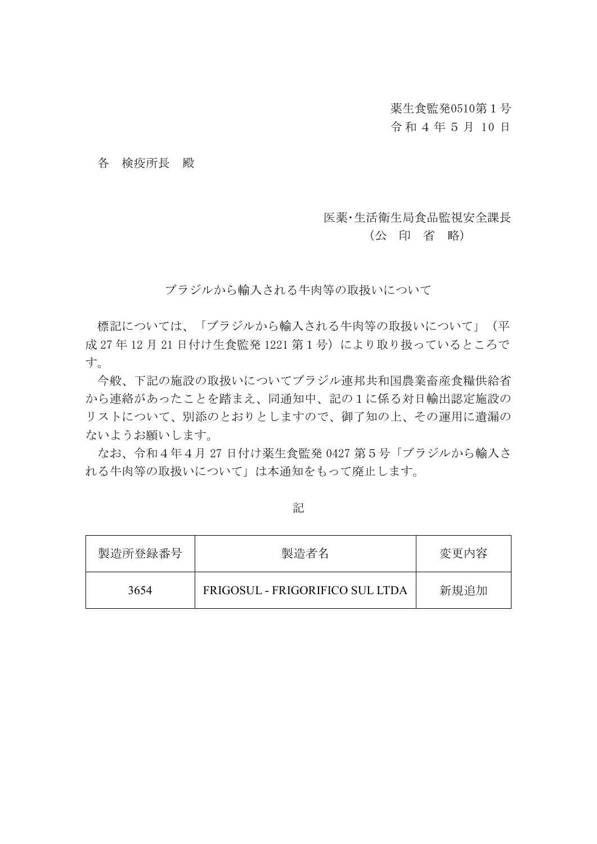薬生食監発0510第1号

令 和 4 年 5 月 10 日

各 検疫所長 殿

## 医薬・生活衛生局食品監視安全課長

## (公 印 省 略)

ブラジルから輸入される牛肉等の取扱いについて

標記については、「ブラジルから輸入される牛肉等の取扱いについて」(平 成 27年12月21日付け生食監発1221 第1号)により取り扱っているところで す。

今般、下記の施設の取扱いについてブラジル連邦共和国農業畜産食糧供給省 から連絡があったことを踏まえ、同通知中、記の1に係る対日輸出認定施設の リストについて、別添のとおりとしますので、御了知の上、その運用に遺漏の ないようお願いします。

なお、令和4年4月 27 日付け薬生食監発 0427 第5号「ブラジルから輸入さ れる牛肉等の取扱いについて」は本通知をもって廃止します。

| 製造所登録番号 | 製造者名                            | 変更内容 |
|---------|---------------------------------|------|
| 3654    | FRIGOSUL - FRIGORIFICO SUL LTDA | 新規追加 |

記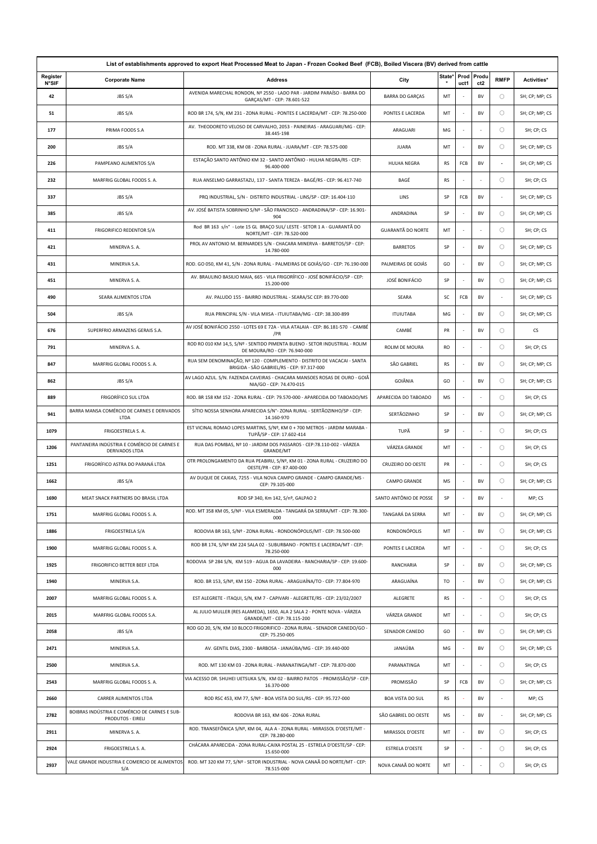| List of establishments approved to export Heat Processed Meat to Japan - Frozen Cooked Beef (FCB), Boiled Viscera (BV) derived from cattle |                                                                    |                                                                                                                       |                          |           |                          |                          |             |                |
|--------------------------------------------------------------------------------------------------------------------------------------------|--------------------------------------------------------------------|-----------------------------------------------------------------------------------------------------------------------|--------------------------|-----------|--------------------------|--------------------------|-------------|----------------|
| Register<br><b>N°SIF</b>                                                                                                                   | <b>Corporate Name</b>                                              | Address                                                                                                               | City                     | State*    | Prod<br>uct1             | Produ<br>ct <sub>2</sub> | <b>RMFP</b> | Activities*    |
| 42                                                                                                                                         | JBS S/A                                                            | AVENIDA MARECHAL RONDON, Nº 2550 - LADO PAR - JARDIM PARAÍSO - BARRA DO<br>GARÇAS/MT - CEP: 78.601-522                | <b>BARRA DO GARÇAS</b>   | MT        | $\sim$                   | BV                       | $\circ$     | SH; CP; MP; CS |
| 51                                                                                                                                         | JBS S/A                                                            | ROD BR 174, S/N, KM 231 - ZONA RURAL - PONTES E LACERDA/MT - CEP: 78.250-000                                          | PONTES E LACERDA         | MT        | ÷,                       | BV                       | $\circ$     | SH; CP; MP; CS |
| 177                                                                                                                                        | PRIMA FOODS S.A                                                    | AV. THEODORETO VELOSO DE CARVALHO, 2053 - PAINEIRAS - ARAGUARI/MG - CEP:<br>38.445-198                                | ARAGUARI                 | MG        |                          |                          | $\circ$     | SH; CP; CS     |
| 200                                                                                                                                        | JBS S/A                                                            | ROD. MT 338, KM 08 - ZONA RURAL - JUARA/MT - CEP: 78.575-000                                                          | <b>JUARA</b>             | MT        |                          | BV                       | $\circ$     | SH; CP; MP; CS |
| 226                                                                                                                                        | PAMPEANO ALIMENTOS S/A                                             | ESTACÃO SANTO ANTÔNIO KM 32 - SANTO ANTÔNIO - HULHA NEGRA/RS - CEP:<br>96.400-000                                     | <b>HULHA NEGRA</b>       | <b>RS</b> | FCB                      | BV                       |             | SH; CP; MP; CS |
| 232                                                                                                                                        | MARFRIG GLOBAL FOODS S. A.                                         | RUA ANSELMO GARRASTAZU, 137 - SANTA TEREZA - BAGÉ/RS - CEP: 96.417-740                                                | BAGÉ                     | <b>RS</b> | $\epsilon$               |                          | $\circ$     | SH; CP; CS     |
| 337                                                                                                                                        | JBS S/A                                                            | PRQ INDUSTRIAL, S/N - DISTRITO INDUSTRIAL - LINS/SP - CEP: 16.404-110                                                 | LINS                     | SP        | FCB                      | BV                       |             | SH; CP; MP; CS |
| 385                                                                                                                                        | JBS S/A                                                            | AV. JOSÉ BATISTA SOBRINHO S/Nº - SÃO FRANCISCO - ANDRADINA/SP - CEP: 16.901-<br>904                                   | ANDRADINA                | SP        | ×                        | BV                       | $\circ$     | SH; CP; MP; CS |
| 411                                                                                                                                        | <b>FRIGORIFICO REDENTOR S/A</b>                                    | Rod BR 163 s/n° - Lote 15 GL BRAÇO SUL/ LESTE - SETOR 1 A - GUARANTÃ DO<br>NORTE/MT - CEP: 78.520-000                 | <b>GUARANTÃ DO NORTE</b> | MT        |                          |                          | $\circ$     | SH; CP; CS     |
| 421                                                                                                                                        | MINERVA S. A.                                                      | PROL AV ANTONIO M. BERNARDES S/N - CHACARA MINERVA - BARRETOS/SP - CEP:<br>14.780-000                                 | <b>BARRETOS</b>          | SP        | $\overline{\phantom{a}}$ | BV                       | $\circ$     | SH; CP; MP; CS |
| 431                                                                                                                                        | MINERVA S.A.                                                       | ROD. GO 050, KM 41, S/N - ZONA RURAL - PALMEIRAS DE GOIÁS/GO - CEP: 76.190-000                                        | PALMEIRAS DE GOIÁS       | GO        | $\sim$                   | BV                       | $\circ$     | SH; CP; MP; CS |
| 451                                                                                                                                        | MINERVA S. A.                                                      | AV. BRAULINO BASILIO MAIA, 665 - VILA FRIGORÍFICO - JOSÉ BONIFÁCIO/SP - CEP:<br>15.200-000                            | JOSÉ BONIFÁCIO           | SP        |                          | BV                       | $\circ$     | SH; CP; MP; CS |
| 490                                                                                                                                        | SEARA ALIMENTOS LTDA                                               | AV. PALUDO 155 - BAIRRO INDUSTRIAL - SEARA/SC CEP: 89.770-000                                                         | SEARA                    | SC        | FCB                      | <b>BV</b>                |             | SH; CP; MP; CS |
| 504                                                                                                                                        | JBS S/A                                                            | RUA PRINCIPAL S/N - VILA MIISA - ITUIUTABA/MG - CEP: 38.300-899                                                       | <b>ITUIUTABA</b>         | MG        | $\sim$                   | BV                       | $\circ$     | SH; CP; MP; CS |
| 676                                                                                                                                        | SUPERFRIO ARMAZENS GERAIS S.A.                                     | AV JOSÉ BONIFÁCIO 2550 - LOTES 69 E 72A - VILA ATALAIA - CEP: 86.181-570 - CAMBÉ<br>/PR                               | CAMBÉ                    | PR        | ÷,                       | <b>BV</b>                | $\circ$     | <b>CS</b>      |
| 791                                                                                                                                        | MINERVA S. A.                                                      | ROD RO 010 KM 14,5, S/Nº - SENTIDO PIMENTA BUENO - SETOR INDUSTRIAL - ROLIM<br>DE MOURA/RO - CEP: 76.940-000          | ROLIM DE MOURA           | <b>RO</b> | $\sim$                   |                          | $\circ$     | SH; CP; CS     |
| 847                                                                                                                                        | MARFRIG GLOBAL FOODS S. A.                                         | RUA SEM DENOMINAÇÃO, Nº 120 - COMPLEMENTO - DISTRITO DE VACACAI - SANTA<br>BRIGIDA - SÃO GABRIEL/RS - CEP: 97.317-000 | SÃO GABRIEL              | <b>RS</b> |                          | BV                       | $\circ$     | SH; CP; MP; CS |
| 862                                                                                                                                        | JBS S/A                                                            | AV LAGO AZUL. S/N. FAZENDA CAVEIRAS - CHACARA MANSOES ROSAS DE OURO - GOIÂ<br>NIA/GO - CEP: 74.470-015                | GOIÂNIA                  | GO        | $\sim$                   | BV                       | $\circ$     | SH; CP; MP; CS |
| 889                                                                                                                                        | FRIGORÍFICO SUL LTDA                                               | ROD. BR 158 KM 152 - ZONA RURAL - CEP: 79.570-000 - APARECIDA DO TABOADO/MS                                           | APARECIDA DO TABOADO     | MS        | ÷,                       |                          | $\circ$     | SH; CP; CS     |
| 941                                                                                                                                        | BARRA MANSA COMÉRCIO DE CARNES E DERIVADOS<br>LTDA                 | SÍTIO NOSSA SENHORA APARECIDA S/N°-ZONA RURAL - SERTÃOZINHO/SP - CEP:<br>14.160-970                                   | SERTÃOZINHO              | SP        | $\overline{\phantom{a}}$ | BV                       | $\circ$     | SH; CP; MP; CS |
| 1079                                                                                                                                       | FRIGOESTRELA S. A.                                                 | EST VICINAL ROMAO LOPES MARTINS, S/Nº, KM 0 + 700 METROS - JARDIM MARABA<br>TUPÃ/SP - CEP: 17.602-414                 | TUPÃ                     | SP        |                          |                          | $\circ$     | SH; CP; CS     |
| 1206                                                                                                                                       | PANTANEIRA INDÚSTRIA E COMÉRCIO DE CARNES E<br>DERIVADOS LTDA      | RUA DAS POMBAS, Nº 10 - JARDIM DOS PASSAROS - CEP: 78.110-002 - VÁRZEA<br>GRANDE/MT                                   | VÁRZEA GRANDE            | MT        | $\sim$                   |                          | $\circ$     | SH; CP; CS     |
| 1251                                                                                                                                       | FRIGORÍFICO ASTRA DO PARANÁ LTDA                                   | OTR PROLONGAMENTO DA RUA PEABIRU, S/Nº, KM 01 - ZONA RURAL - CRUZEIRO DO<br>OESTE/PR - CEP: 87.400-000                | CRUZEIRO DO OESTE        | PR        | $\sim$                   |                          | $\circ$     | SH; CP; CS     |
| 1662                                                                                                                                       | JBS S/A                                                            | AV DUQUE DE CAXIAS, 7255 - VILA NOVA CAMPO GRANDE - CAMPO GRANDE/MS -<br>CEP: 79.105-000                              | <b>CAMPO GRANDE</b>      | MS        | ÷,                       | BV                       | $\circ$     | SH; CP; MP; CS |
| 1690                                                                                                                                       | MEAT SNACK PARTNERS DO BRASIL LTDA                                 | ROD SP 340, Km 142, S/nº, GALPAO 2                                                                                    | SANTO ANTÔNIO DE POSSE   | SP        |                          | BV                       |             | MP; CS         |
| 1751                                                                                                                                       | MARFRIG GLOBAL FOODS S. A.                                         | ROD. MT 358 KM 05, S/Nº - VILA ESMERALDA - TANGARÁ DA SERRA/MT - CEP: 78.300-<br>000                                  | TANGARÁ DA SERRA         | MT        |                          | BV                       | $\circ$     | SH; CP; MP; CS |
| 1886                                                                                                                                       | FRIGOESTRELA S/A                                                   | RODOVIA BR 163, S/Nº - ZONA RURAL - RONDONÓPOLIS/MT - CEP: 78.500-000                                                 | RONDONÓPOLIS             | MT        |                          | BV                       | $\circ$     | SH; CP; MP; CS |
| 1900                                                                                                                                       | MARFRIG GLOBAL FOODS S. A.                                         | ROD BR 174, S/Nº KM 224 SALA 02 - SUBURBANO - PONTES E LACERDA/MT - CEP:<br>78.250-000                                | PONTES E LACERDA         | MT        |                          |                          | $\circ$     | SH; CP; CS     |
| 1925                                                                                                                                       | FRIGORIFICO BETTER BEEF LTDA                                       | RODOVIA SP 284 S/N, KM 519 - AGUA DA LAVADEIRA - RANCHARIA/SP - CEP: 19.600-<br>000                                   | RANCHARIA                | SP        | ÷,                       | BV                       | $\circ$     | SH; CP; MP; CS |
| 1940                                                                                                                                       | MINERVA S.A.                                                       | ROD. BR 153, S/Nº, KM 150 - ZONA RURAL - ARAGUAÍNA/TO - CEP: 77.804-970                                               | ARAGUAÍNA                | TO        |                          | BV                       | $\bigcirc$  | SH; CP; MP; CS |
| 2007                                                                                                                                       | MARFRIG GLOBAL FOODS S. A.                                         | EST ALEGRETE - ITAQUI, S/N, KM 7 - CAPIVARI - ALEGRETE/RS - CEP: 23/02/2007                                           | ALEGRETE                 | RS        |                          |                          | $\circ$     | SH; CP; CS     |
| 2015                                                                                                                                       | MARFRIG GLOBAL FOODS S.A.                                          | AL JULIO MULLER (RES ALAMEDA), 1650, ALA 2 SALA 2 - PONTE NOVA - VÁRZEA<br>GRANDE/MT - CEP: 78.115-200                | VÁRZEA GRANDE            | MT        |                          |                          | $\circ$     | SH; CP; CS     |
| 2058                                                                                                                                       | JBS S/A                                                            | ROD GO 20, S/N, KM 10 BLOCO FRIGORIFICO - ZONA RURAL - SENADOR CANEDO/GO -<br>CEP: 75.250-005                         | SENADOR CANEDO           | GO        | ÷,                       | BV                       | $\circ$     | SH; CP; MP; CS |
| 2471                                                                                                                                       | MINERVA S.A.                                                       | AV. GENTIL DIAS, 2300 - BARBOSA - JANAÚBA/MG - CEP: 39.440-000                                                        | JANAÚBA                  | MG        |                          | BV                       | $\circ$     | SH; CP; MP; CS |
| 2500                                                                                                                                       | MINERVA S.A.                                                       | ROD. MT 130 KM 03 - ZONA RURAL - PARANATINGA/MT - CEP: 78.870-000                                                     | PARANATINGA              | MT        |                          |                          | $\circ$     | SH; CP; CS     |
| 2543                                                                                                                                       | MARFRIG GLOBAL FOODS S. A.                                         | VIA ACESSO DR. SHUHEI UETSUKA S/N, KM 02 - BAIRRO PATOS  - PROMISSÃO/SP - CEP:<br>16.370-000                          | PROMISSÃO                | SP        | FCB                      | BV                       | $\circ$     | SH; CP; MP; CS |
| 2660                                                                                                                                       | CARRER ALIMENTOS LTDA                                              | ROD RSC 453, KM 77, S/Nº - BOA VISTA DO SUL/RS - CEP: 95.727-000                                                      | <b>BOA VISTA DO SUL</b>  | <b>RS</b> | ×,                       | BV                       |             | MP; CS         |
| 2782                                                                                                                                       | BOIBRAS INDÚSTRIA E COMÉRCIO DE CARNES E SUB-<br>PRODUTOS - EIRELI | RODOVIA BR 163, KM 606 - ZONA RURAL                                                                                   | SÃO GABRIEL DO OESTE     | MS        | ÷,                       | <b>BV</b>                | $\sim$      | SH; CP; MP; CS |
| 2911                                                                                                                                       | MINERVA S. A.                                                      | ROD. TRANSEFÔNICA S/Nº, KM 04, ALA A - ZONA RURAL - MIRASSOL D'OESTE/MT -<br>CEP: 78.280-000                          | MIRASSOL D'OESTE         | MT        | $\sim$                   | BV                       | $\circ$     | SH; CP; CS     |
| 2924                                                                                                                                       | FRIGOESTRELA S. A.                                                 | CHÁCARA APARECIDA - ZONA RURAL-CAIXA POSTAL 25 - ESTRELA D'OESTE/SP - CEP:<br>15.650-000                              | ESTRELA D'OESTE          | SP        |                          |                          | $\circ$     | SH; CP; CS     |
| 2937                                                                                                                                       | VALE GRANDE INDUSTRIA E COMERCIO DE ALIMENTOS<br>S/A               | ROD. MT 320 KM 77, S/Nº - SETOR INDUSTRIAL - NOVA CANAÃ DO NORTE/MT - CEP:<br>78.515-000                              | NOVA CANAÃ DO NORTE      | MT        |                          |                          | $\circ$     | SH; CP; CS     |